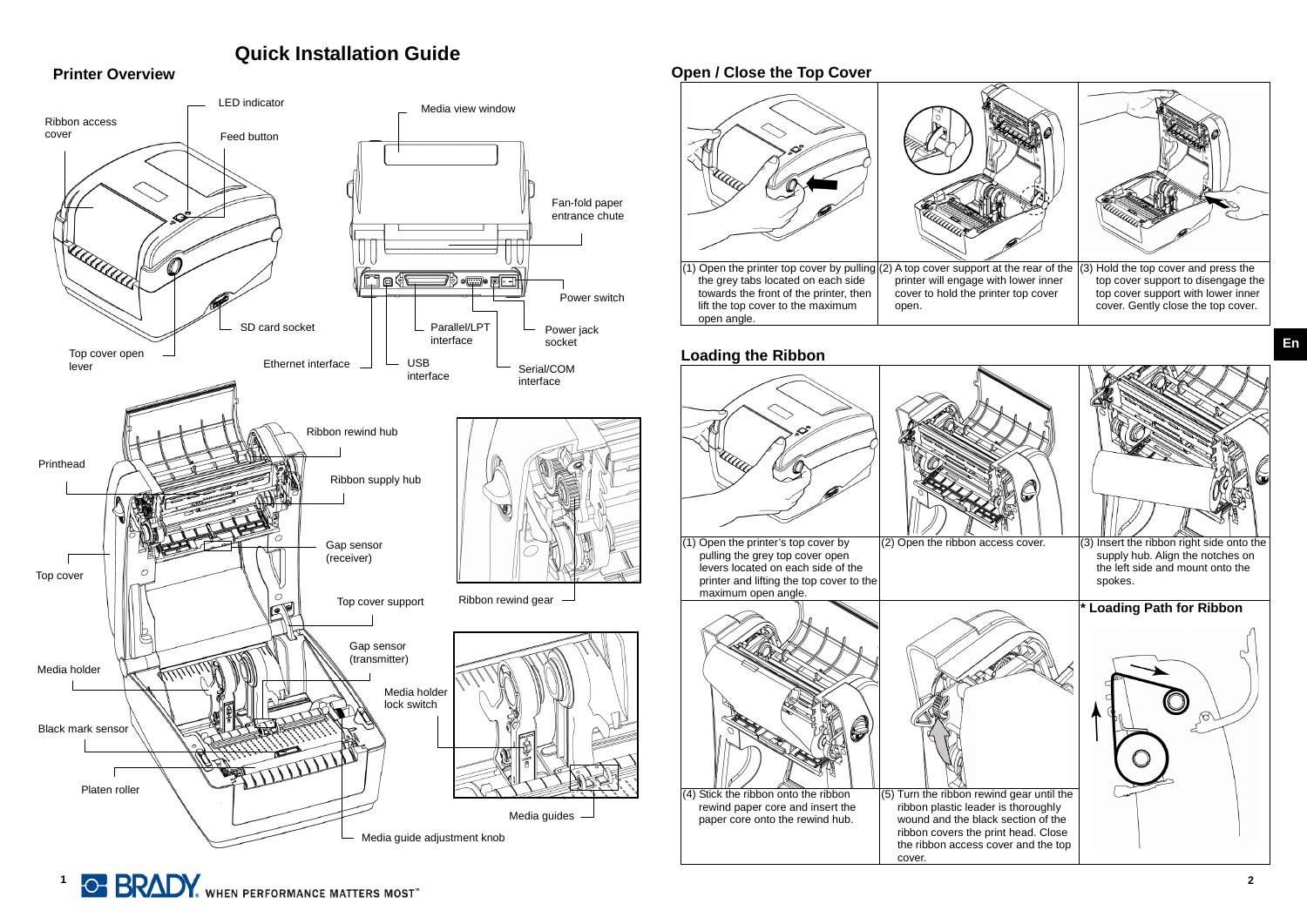# **Quick Installation Guide**



| t at the rear of the | (3) Hold the top cover and press the |
|----------------------|--------------------------------------|
| with lower inner     | top cover support to disengage the   |
| rinter top cover     | top cover support with lower inner   |
|                      | cover. Gently close the top cover.   |

### **Loading the Ribbon**



**O-BRADY** WHEN PERFORMANCE MATTERS MOST"

**1** 



**Printer Overview Cover 1999 Cover 1999 Cover 1999 Cover 2009 Cover 2009 Cover 2009 Cover 2009 Cover 2009 Cover** 

**En**